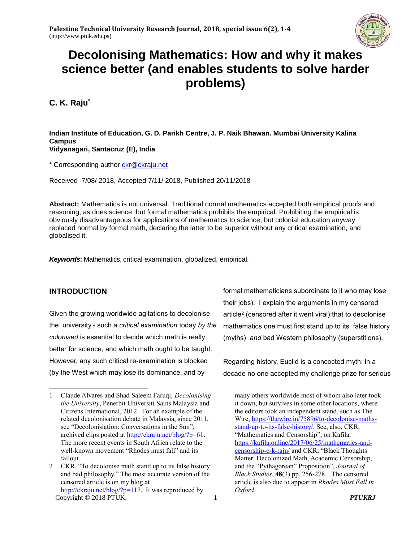

# **Decolonising Mathematics: How and why it makes science better (and enables students to solve harder problems)**

**C. K. Raju**\*,

#### **Indian Institute of Education, G. D. Parikh Centre, J. P. Naik Bhawan. Mumbai University Kalina Campus Vidyanagari, Santacruz (E), India**

\* Corresponding author [ckr@ckraju.net](mailto:ckr@ckraju.net)

Received 7/08/ 2018, Accepted 7/11/ 2018, Published 20/11/2018

**Abstract:** Mathematics is not universal. Traditional normal mathematics accepted both empirical proofs and reasoning, as does science, but formal mathematics prohibits the empirical. Prohibiting the empirical is obviously disadvantageous for applications of mathematics to science, but colonial education anyway replaced normal by formal math, declaring the latter to be superior without any critical examination, and globalised it.

*Keywords***:** Mathematics, critical examination, globalized, empirical.

## **INTRODUCTION**

 $\overline{a}$ 

Given the growing worldwide agitations to decolonise the university,<sup>1</sup> such *a critical examination* today *by the colonised* is essential to decide which math is really better for science, and which math ought to be taught. However, any such critical re-examination is blocked (by the West which may lose its dominance, and by

formal mathematicians subordinate to it who may lose their jobs). I explain the arguments in my censored article<sup>2</sup> (censored after it went viral):that to decolonise mathematics one must first stand up to its false history (myths) *and* bad Western philosophy (superstitions).

Regarding history, Euclid is a concocted myth: in a decade no one accepted my challenge prize for serious

many others worldwide most of whom also later took it down, but survives in some other locations, where the editors took an independent stand, such as The Wire, [https://thewire.in/75896/to-decolonise-maths](https://thewire.in/75896/to-decolonise-maths-stand-up-to-its-false-history/)[stand-up-to-its-false-history/.](https://thewire.in/75896/to-decolonise-maths-stand-up-to-its-false-history/) See, also, CKR, "Mathematics and Censorship", on Kafila, [https://kafila.online/2017/06/25/mathematics-and](https://kafila.online/2017/06/25/mathematics-and-censorship-c-k-raju/)[censorship-c-k-raju/](https://kafila.online/2017/06/25/mathematics-and-censorship-c-k-raju/) and CKR, "Black Thoughts Matter: Decolonized Math, Academic Censorship, and the "Pythagorean" Proposition", *Journal of Black Studies*, **48**(3) pp. 256-278. . The censored article is also due to appear in *Rhodes Must Fall in Oxford*.

<sup>1</sup> Claude Alvares and Shad Saleem Faruqi, *Decolonising the University*, Penerbit Universiti Sains Malaysia and Citizens International, 2012. For an example of the related decolonisation debate in Malaysia, since 2011, see "Decolonisiation: Conversations in the Sun", archived clips posted at [http://ckraju.net/blog/?p=61.](http://ckraju.net/blog/?p=61) The more recent events in South Africa relate to the well-known movement "Rhodes must fall" and its fallout.

Copyright © 2018 PTUK. 1 *PTUKRJ* 2 CKR, "To decolonise math stand up to its false history and bad philosophy." The most accurate version of the censored article is on my blog at [http://ckraju.net/blog/?p=117.](http://ckraju.net/blog/?p=117) It was reproduced by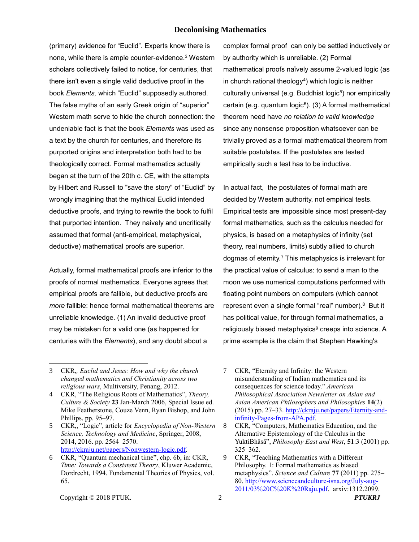#### **Decolonising Mathematics**

(primary) evidence for "Euclid". Experts know there is none, while there is ample counter-evidence.<sup>3</sup> Western scholars collectively failed to notice, for centuries, that there isn't even a single valid deductive proof in the book *Elements,* which "Euclid" supposedly authored. The false myths of an early Greek origin of "superior" Western math serve to hide the church connection: the undeniable fact is that the book *Elements* was used as a text by the church for centuries, and therefore its purported origins and interpretation both had to be theologically correct. Formal mathematics actually began at the turn of the 20th c. CE, with the attempts by Hilbert and Russell to "save the story" of "Euclid" by wrongly imagining that the mythical Euclid intended deductive proofs, and trying to rewrite the book to fulfil that purported intention. They naively and uncritically assumed that formal (anti-empirical, metaphysical, deductive) mathematical proofs are superior.

Actually, formal mathematical proofs are inferior to the proofs of normal mathematics. Everyone agrees that empirical proofs are fallible, but deductive proofs are *more* fallible: hence formal mathematical theorems are unreliable knowledge. (1) An invalid deductive proof may be mistaken for a valid one (as happened for centuries with the *Elements*), and any doubt about a

complex formal proof can only be settled inductively or by authority which is unreliable. (2) Formal mathematical proofs naïvely assume 2-valued logic (as in church rational theology<sup>4</sup> ) which logic is neither culturally universal (e.g. Buddhist logic<sup>5</sup>) nor empirically certain (e.g. quantum logic<sup>6</sup>). (3) A formal mathematical theorem need have *no relation to valid knowledge* since any nonsense proposition whatsoever can be trivially proved as a formal mathematical theorem from suitable postulates. If the postulates are tested empirically such a test has to be inductive.

In actual fact, the postulates of formal math are decided by Western authority, not empirical tests. Empirical tests are impossible since most present-day formal mathematics, such as the calculus needed for physics, is based on a metaphysics of infinity (set theory, real numbers, limits) subtly allied to church dogmas of eternity.<sup>7</sup> This metaphysics is irrelevant for the practical value of calculus: to send a man to the moon we use numerical computations performed with floating point numbers on computers (which cannot represent even a single formal "real" number).<sup>8</sup> But it has political value, for through formal mathematics, a religiously biased metaphysics<sup>9</sup> creeps into science. A prime example is the claim that Stephen Hawking's

 $\overline{a}$ 

<sup>3</sup> CKR,*, Euclid and Jesus: How and why the church changed mathematics and Christianity across two religious wars*, Multiversity, Penang, 2012.

<sup>4</sup> CKR, "The Religious Roots of Mathematics", *Theory, Culture & Society* **23** Jan-March 2006, Special Issue ed. Mike Featherstone, Couze Venn, Ryan Bishop, and John Phillips, pp. 95–97.

<sup>5</sup> CKR,, "Logic", article for *Encyclopedia of Non-Western Science, Technology and Medicine*, Springer, 2008, 2014, 2016. pp. 2564–2570. [http://ckraju.net/papers/Nonwestern-logic.pdf.](http://ckraju.net/papers/Nonwestern-logic.pdf)

<sup>6</sup> CKR, "Quantum mechanical time", chp. 6b, in: CKR, *Time: Towards a Consistent Theory*, Kluwer Academic, Dordrecht, 1994. Fundamental Theories of Physics, vol. 65.

<sup>7</sup> CKR, "Eternity and Infinity: the Western misunderstanding of Indian mathematics and its consequences for science today." *American Philosophical Association Newsletter on Asian and Asian American Philosophers and Philosophies* **14**(2) (2015) pp. 27–33. [http://ckraju.net/papers/Eternity-and](http://ckraju.net/papers/Eternity-and-infinity-Pages-from-APA.pdf)[infinity-Pages-from-APA.pdf.](http://ckraju.net/papers/Eternity-and-infinity-Pages-from-APA.pdf) 

<sup>8</sup> CKR, "Computers, Mathematics Education, and the Alternative Epistemology of the Calculus in the YuktiBhāsā", *Philosophy East and West*, **51**:3 (2001) pp. 325–362.

<sup>9</sup> CKR, "Teaching Mathematics with a Different Philosophy. 1: Formal mathematics as biased metaphysics". *Science and Culture* **77** (2011) pp. 275– 80. [http://www.scienceandculture-isna.org/July-aug-](http://www.scienceandculture-isna.org/July-aug-2011/03%20C%20K%20Raju.pdf)[2011/03%20C%20K%20Raju.pdf.](http://www.scienceandculture-isna.org/July-aug-2011/03%20C%20K%20Raju.pdf) arxiv:1312.2099.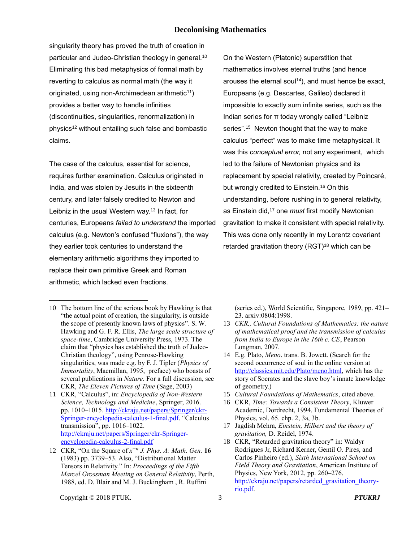#### **Decolonising Mathematics**

singularity theory has proved the truth of creation in particular and Judeo-Christian theology in general.<sup>10</sup> Eliminating this bad metaphysics of formal math by reverting to calculus as normal math (the way it originated, using non-Archimedean arithmetic<sup>11</sup>) provides a better way to handle infinities (discontinuities, singularities, renormalization) in physics<sup>12</sup> without entailing such false and bombastic claims.

The case of the calculus, essential for science, requires further examination. Calculus originated in India, and was stolen by Jesuits in the sixteenth century, and later falsely credited to Newton and Leibniz in the usual Western way.<sup>13</sup> In fact, for centuries, Europeans *failed to understand* the imported calculus (e.g. Newton's confused "fluxions"), the way they earlier took centuries to understand the elementary arithmetic algorithms they imported to replace their own primitive Greek and Roman arithmetic, which lacked even fractions.

On the Western (Platonic) superstition that mathematics involves eternal truths (and hence arouses the eternal soul<sup>14</sup>), and must hence be exact, Europeans (e.g. Descartes, Galileo) declared it impossible to exactly sum infinite series, such as the Indian series for π today wrongly called "Leibniz series".<sup>15</sup> Newton thought that the way to make calculus "perfect" was to make time metaphysical. It was this *conceptual error,* not any experiment, which led to the failure of Newtonian physics and its replacement by special relativity, created by Poincaré, but wrongly credited to Einstein.<sup>16</sup> On this understanding, before rushing in to general relativity, as Einstein did,<sup>17</sup> one *must* first modify Newtonian gravitation to make it consistent with special relativity. This was done only recently in my Lorentz covariant retarded gravitation theory (RGT)<sup>18</sup> which can be

(series ed.), World Scientific, Singapore, 1989, pp. 421– 23. arxiv:0804:1998.

- 13 *CKR,, Cultural Foundations of Mathematics: the nature of mathematical proof and the transmission of calculus from India to Europe in the 16th c. CE*, Pearson Longman, 2007.
- 14 E.g. Plato, *Meno*. trans. B. Jowett. (Search for the second occurrence of soul in the online version at [http://classics.mit.edu/Plato/meno.html,](http://classics.mit.edu/Plato/meno.html) which has the story of Socrates and the slave boy's innate knowledge of geometry.)
- 15 *Cultural Foundations of Mathematics*, cited above.
- 16 CKR, *Time: Towards a Consistent Theory*, Kluwer Academic, Dordrecht, 1994. Fundamental Theories of Physics, vol. 65. chp. 2, 3a, 3b.
- 17 Jagdish Mehra, *Einstein, Hilbert and the theory of gravitation,* D. Reidel, 1974.

 $\overline{a}$ 

<sup>10</sup> The bottom line of the serious book by Hawking is that "the actual point of creation, the singularity, is outside the scope of presently known laws of physics". S. W. Hawking and G. F. R. Ellis, *The large scale structure of space-time*, Cambridge University Press, 1973. The claim that "physics has established the truth of Judeo-Christian theology", using Penrose-Hawking singularities, was made e.g. by F. J. Tipler (*Physics of Immortality*, Macmillan, 1995, preface) who boasts of several publications in *Nature*. For a full discussion, see CKR, *The Eleven Pictures of Time* (Sage, 2003)

<sup>11</sup> CKR, "Calculus", in: *Encyclopedia of Non-Western Science, Technology and Medicine*, Springer, 2016. pp. 1010–1015. [http://ckraju.net/papers/Springer/ckr-](http://ckraju.net/papers/Springer/ckr-Springer-encyclopedia-calculus-1-final.pdf)[Springer-encyclopedia-calculus-1-final.pdf.](http://ckraju.net/papers/Springer/ckr-Springer-encyclopedia-calculus-1-final.pdf) "Calculus transmission", pp. 1016–1022. [http://ckraju.net/papers/Springer/ckr-Springer](http://ckraju.net/papers/Springer/ckr-Springer-encyclopedia-calculus-2-final.pdf)[encyclopedia-calculus-2-final.pdf](http://ckraju.net/papers/Springer/ckr-Springer-encyclopedia-calculus-2-final.pdf)

<sup>12</sup> CKR, "On the Square of  $x^{-n}$  *J. Phys. A: Math. Gen.* **16** (1983) pp. 3739–53. Also, "Distributional Matter Tensors in Relativity." In: *Proceedings of the Fifth Marcel Grossman Meeting on General Relativity*, Perth, 1988, ed. D. Blair and M. J. Buckingham , R. Ruffini

<sup>18</sup> CKR, "Retarded gravitation theory" in: Waldyr Rodrigues Jr, Richard Kerner, Gentil O. Pires, and Carlos Pinheiro (ed.), *Sixth International School on Field Theory and Gravitation*, American Institute of Physics, New York, 2012, pp. 260–276. [http://ckraju.net/papers/retarded\\_gravitation\\_theory](http://ckraju.net/papers/retarded_gravitation_theory-rio.pdf)[rio.pdf.](http://ckraju.net/papers/retarded_gravitation_theory-rio.pdf)